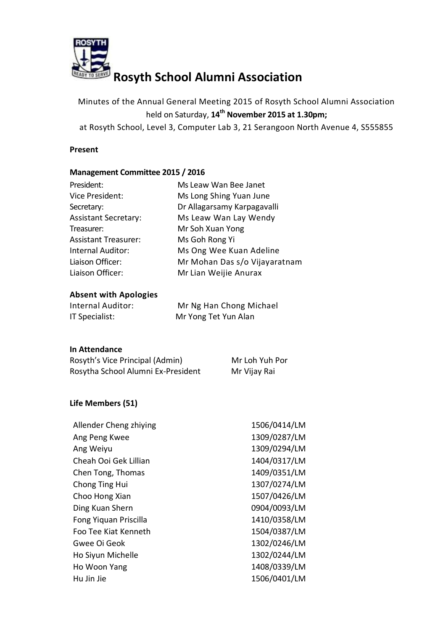

# **Rosyth School Alumni Association**

Minutes of the Annual General Meeting 2015 of Rosyth School Alumni Association held on Saturday, **14th November 2015 at 1.30pm;**

at Rosyth School, Level 3, Computer Lab 3, 21 Serangoon North Avenue 4, S555855

# **Present**

# **Management Committee 2015 / 2016**

| President:                  | Ms Leaw Wan Bee Janet         |
|-----------------------------|-------------------------------|
| Vice President:             | Ms Long Shing Yuan June       |
| Secretary:                  | Dr Allagarsamy Karpagavalli   |
| <b>Assistant Secretary:</b> | Ms Leaw Wan Lay Wendy         |
| Treasurer:                  | Mr Soh Xuan Yong              |
| <b>Assistant Treasurer:</b> | Ms Goh Rong Yi                |
| Internal Auditor:           | Ms Ong Wee Kuan Adeline       |
| Liaison Officer:            | Mr Mohan Das s/o Vijayaratnam |
| Liaison Officer:            | Mr Lian Weijie Anurax         |
|                             |                               |

# **Absent with Apologies**

| Internal Auditor: | Mr Ng Han Chong Michael |
|-------------------|-------------------------|
| IT Specialist:    | Mr Yong Tet Yun Alan    |

# **In Attendance**

| Rosyth's Vice Principal (Admin)    | Mr Loh Yuh Por |
|------------------------------------|----------------|
| Rosytha School Alumni Ex-President | Mr Vijay Rai   |

# **Life Members (51)**

| Allender Cheng zhiying | 1506/0414/LM |
|------------------------|--------------|
| Ang Peng Kwee          | 1309/0287/LM |
| Ang Weiyu              | 1309/0294/LM |
| Cheah Ooi Gek Lillian  | 1404/0317/LM |
| Chen Tong, Thomas      | 1409/0351/LM |
| Chong Ting Hui         | 1307/0274/LM |
| Choo Hong Xian         | 1507/0426/LM |
| Ding Kuan Shern        | 0904/0093/LM |
| Fong Yiquan Priscilla  | 1410/0358/LM |
| Foo Tee Kiat Kenneth   | 1504/0387/LM |
| Gwee Oi Geok           | 1302/0246/LM |
| Ho Siyun Michelle      | 1302/0244/LM |
| Ho Woon Yang           | 1408/0339/LM |
| Hu Jin Jie             | 1506/0401/LM |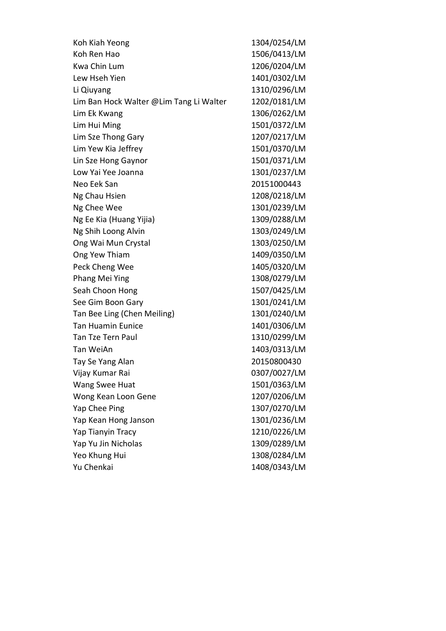| Koh Kiah Yeong                          | 1304/0254/LM |
|-----------------------------------------|--------------|
| Koh Ren Hao                             | 1506/0413/LM |
| Kwa Chin Lum                            | 1206/0204/LM |
| Lew Hseh Yien                           | 1401/0302/LM |
| Li Qiuyang                              | 1310/0296/LM |
| Lim Ban Hock Walter @Lim Tang Li Walter | 1202/0181/LM |
| Lim Ek Kwang                            | 1306/0262/LM |
| Lim Hui Ming                            | 1501/0372/LM |
| Lim Sze Thong Gary                      | 1207/0217/LM |
| Lim Yew Kia Jeffrey                     | 1501/0370/LM |
| Lin Sze Hong Gaynor                     | 1501/0371/LM |
| Low Yai Yee Joanna                      | 1301/0237/LM |
| Neo Eek San                             | 20151000443  |
| Ng Chau Hsien                           | 1208/0218/LM |
| Ng Chee Wee                             | 1301/0239/LM |
| Ng Ee Kia (Huang Yijia)                 | 1309/0288/LM |
| Ng Shih Loong Alvin                     | 1303/0249/LM |
| Ong Wai Mun Crystal                     | 1303/0250/LM |
| Ong Yew Thiam                           | 1409/0350/LM |
| Peck Cheng Wee                          | 1405/0320/LM |
| Phang Mei Ying                          | 1308/0279/LM |
| Seah Choon Hong                         | 1507/0425/LM |
| See Gim Boon Gary                       | 1301/0241/LM |
| Tan Bee Ling (Chen Meiling)             | 1301/0240/LM |
| <b>Tan Huamin Eunice</b>                | 1401/0306/LM |
| <b>Tan Tze Tern Paul</b>                | 1310/0299/LM |
| Tan WeiAn                               | 1403/0313/LM |
| Tay Se Yang Alan                        | 20150800430  |
| Vijay Kumar Rai                         | 0307/0027/LM |
| Wang Swee Huat                          | 1501/0363/LM |
| Wong Kean Loon Gene                     | 1207/0206/LM |
| Yap Chee Ping                           | 1307/0270/LM |
| Yap Kean Hong Janson                    | 1301/0236/LM |
| Yap Tianyin Tracy                       | 1210/0226/LM |
| Yap Yu Jin Nicholas                     | 1309/0289/LM |
| Yeo Khung Hui                           | 1308/0284/LM |
| Yu Chenkai                              | 1408/0343/LM |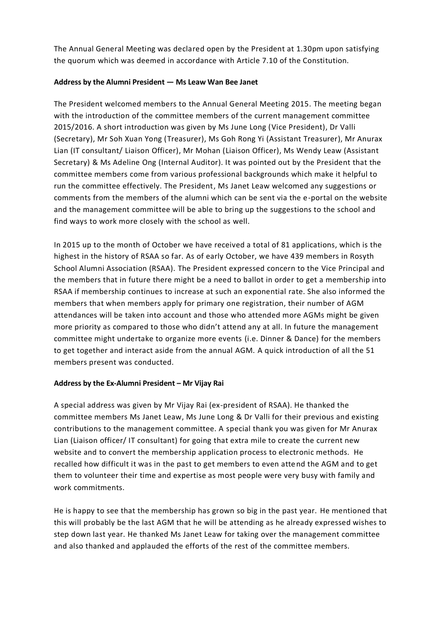The Annual General Meeting was declared open by the President at 1.30pm upon satisfying the quorum which was deemed in accordance with Article 7.10 of the Constitution.

# **Address by the Alumni President — Ms Leaw Wan Bee Janet**

The President welcomed members to the Annual General Meeting 2015. The meeting began with the introduction of the committee members of the current management committee 2015/2016. A short introduction was given by Ms June Long (Vice President), Dr Valli (Secretary), Mr Soh Xuan Yong (Treasurer), Ms Goh Rong Yi (Assistant Treasurer), Mr Anurax Lian (IT consultant/ Liaison Officer), Mr Mohan (Liaison Officer), Ms Wendy Leaw (Assistant Secretary) & Ms Adeline Ong (Internal Auditor). It was pointed out by the President that the committee members come from various professional backgrounds which make it helpful to run the committee effectively. The President, Ms Janet Leaw welcomed any suggestions or comments from the members of the alumni which can be sent via the e-portal on the website and the management committee will be able to bring up the suggestions to the school and find ways to work more closely with the school as well.

In 2015 up to the month of October we have received a total of 81 applications, which is the highest in the history of RSAA so far. As of early October, we have 439 members in Rosyth School Alumni Association (RSAA). The President expressed concern to the Vice Principal and the members that in future there might be a need to ballot in order to get a membership into RSAA if membership continues to increase at such an exponential rate. She also informed the members that when members apply for primary one registration, their number of AGM attendances will be taken into account and those who attended more AGMs might be given more priority as compared to those who didn't attend any at all. In future the management committee might undertake to organize more events (i.e. Dinner & Dance) for the members to get together and interact aside from the annual AGM. A quick introduction of all the 51 members present was conducted.

# **Address by the Ex-Alumni President – Mr Vijay Rai**

A special address was given by Mr Vijay Rai (ex-president of RSAA). He thanked the committee members Ms Janet Leaw, Ms June Long & Dr Valli for their previous and existing contributions to the management committee. A special thank you was given for Mr Anurax Lian (Liaison officer/ IT consultant) for going that extra mile to create the current new website and to convert the membership application process to electronic methods. He recalled how difficult it was in the past to get members to even attend the AGM and to get them to volunteer their time and expertise as most people were very busy with family and work commitments.

He is happy to see that the membership has grown so big in the past year. He mentioned that this will probably be the last AGM that he will be attending as he already expressed wishes to step down last year. He thanked Ms Janet Leaw for taking over the management committee and also thanked and applauded the efforts of the rest of the committee members.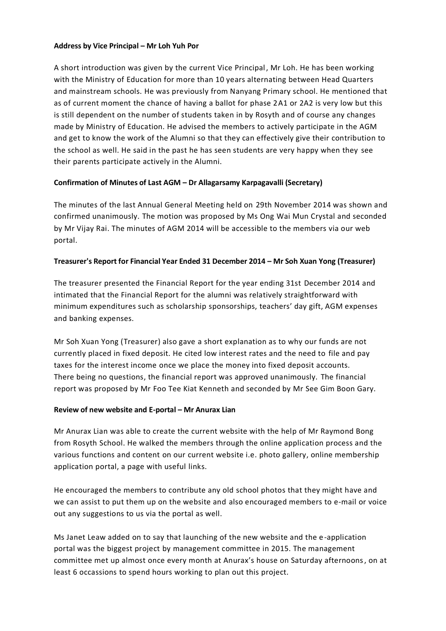#### **Address by Vice Principal – Mr Loh Yuh Por**

A short introduction was given by the current Vice Principal, Mr Loh. He has been working with the Ministry of Education for more than 10 years alternating between Head Quarters and mainstream schools. He was previously from Nanyang Primary school. He mentioned that as of current moment the chance of having a ballot for phase 2A1 or 2A2 is very low but this is still dependent on the number of students taken in by Rosyth and of course any changes made by Ministry of Education. He advised the members to actively participate in the AGM and get to know the work of the Alumni so that they can effectively give their contribution to the school as well. He said in the past he has seen students are very happy when they see their parents participate actively in the Alumni.

# **Confirmation of Minutes of Last AGM – Dr Allagarsamy Karpagavalli (Secretary)**

The minutes of the last Annual General Meeting held on 29th November 2014 was shown and confirmed unanimously. The motion was proposed by Ms Ong Wai Mun Crystal and seconded by Mr Vijay Rai. The minutes of AGM 2014 will be accessible to the members via our web portal.

#### **Treasurer's Report for Financial Year Ended 31 December 2014 – Mr Soh Xuan Yong (Treasurer)**

The treasurer presented the Financial Report for the year ending 31st December 2014 and intimated that the Financial Report for the alumni was relatively straightforward with minimum expenditures such as scholarship sponsorships, teachers' day gift, AGM expenses and banking expenses.

Mr Soh Xuan Yong (Treasurer) also gave a short explanation as to why our funds are not currently placed in fixed deposit. He cited low interest rates and the need to file and pay taxes for the interest income once we place the money into fixed deposit accounts. There being no questions, the financial report was approved unanimously. The financial report was proposed by Mr Foo Tee Kiat Kenneth and seconded by Mr See Gim Boon Gary.

#### **Review of new website and E-portal – Mr Anurax Lian**

Mr Anurax Lian was able to create the current website with the help of Mr Raymond Bong from Rosyth School. He walked the members through the online application process and the various functions and content on our current website i.e. photo gallery, online membership application portal, a page with useful links.

He encouraged the members to contribute any old school photos that they might have and we can assist to put them up on the website and also encouraged members to e-mail or voice out any suggestions to us via the portal as well.

Ms Janet Leaw added on to say that launching of the new website and the e-application portal was the biggest project by management committee in 2015. The management committee met up almost once every month at Anurax's house on Saturday afternoons, on at least 6 occassions to spend hours working to plan out this project.